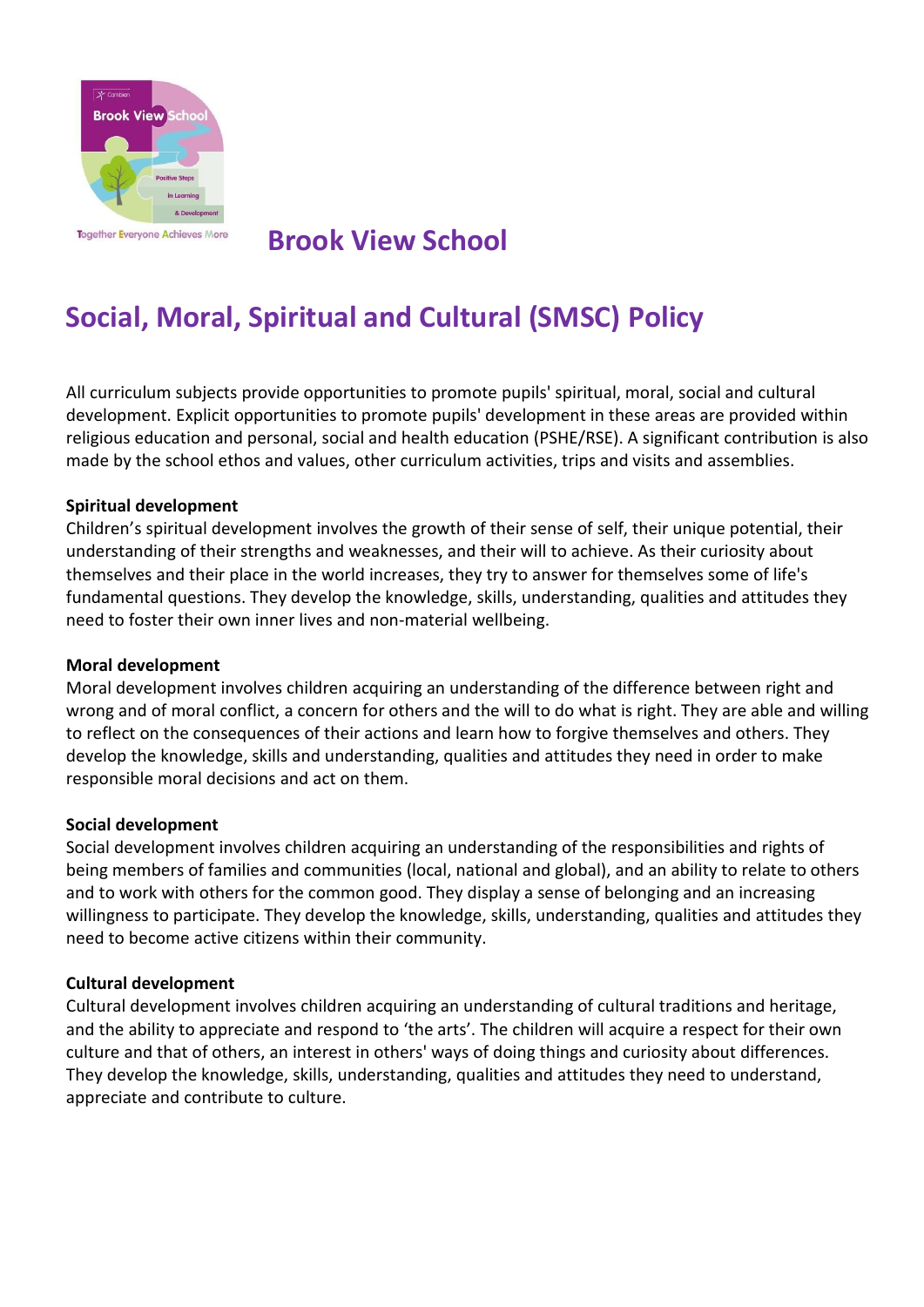

# **Brook View School**

# **Social, Moral, Spiritual and Cultural (SMSC) Policy**

All curriculum subjects provide opportunities to promote pupils' spiritual, moral, social and cultural development. Explicit opportunities to promote pupils' development in these areas are provided within religious education and personal, social and health education (PSHE/RSE). A significant contribution is also made by the school ethos and values, other curriculum activities, trips and visits and assemblies.

#### **Spiritual development**

Children's spiritual development involves the growth of their sense of self, their unique potential, their understanding of their strengths and weaknesses, and their will to achieve. As their curiosity about themselves and their place in the world increases, they try to answer for themselves some of life's fundamental questions. They develop the knowledge, skills, understanding, qualities and attitudes they need to foster their own inner lives and non-material wellbeing.

#### **Moral development**

Moral development involves children acquiring an understanding of the difference between right and wrong and of moral conflict, a concern for others and the will to do what is right. They are able and willing to reflect on the consequences of their actions and learn how to forgive themselves and others. They develop the knowledge, skills and understanding, qualities and attitudes they need in order to make responsible moral decisions and act on them.

#### **Social development**

Social development involves children acquiring an understanding of the responsibilities and rights of being members of families and communities (local, national and global), and an ability to relate to others and to work with others for the common good. They display a sense of belonging and an increasing willingness to participate. They develop the knowledge, skills, understanding, qualities and attitudes they need to become active citizens within their community.

#### **Cultural development**

Cultural development involves children acquiring an understanding of cultural traditions and heritage, and the ability to appreciate and respond to 'the arts'. The children will acquire a respect for their own culture and that of others, an interest in others' ways of doing things and curiosity about differences. They develop the knowledge, skills, understanding, qualities and attitudes they need to understand, appreciate and contribute to culture.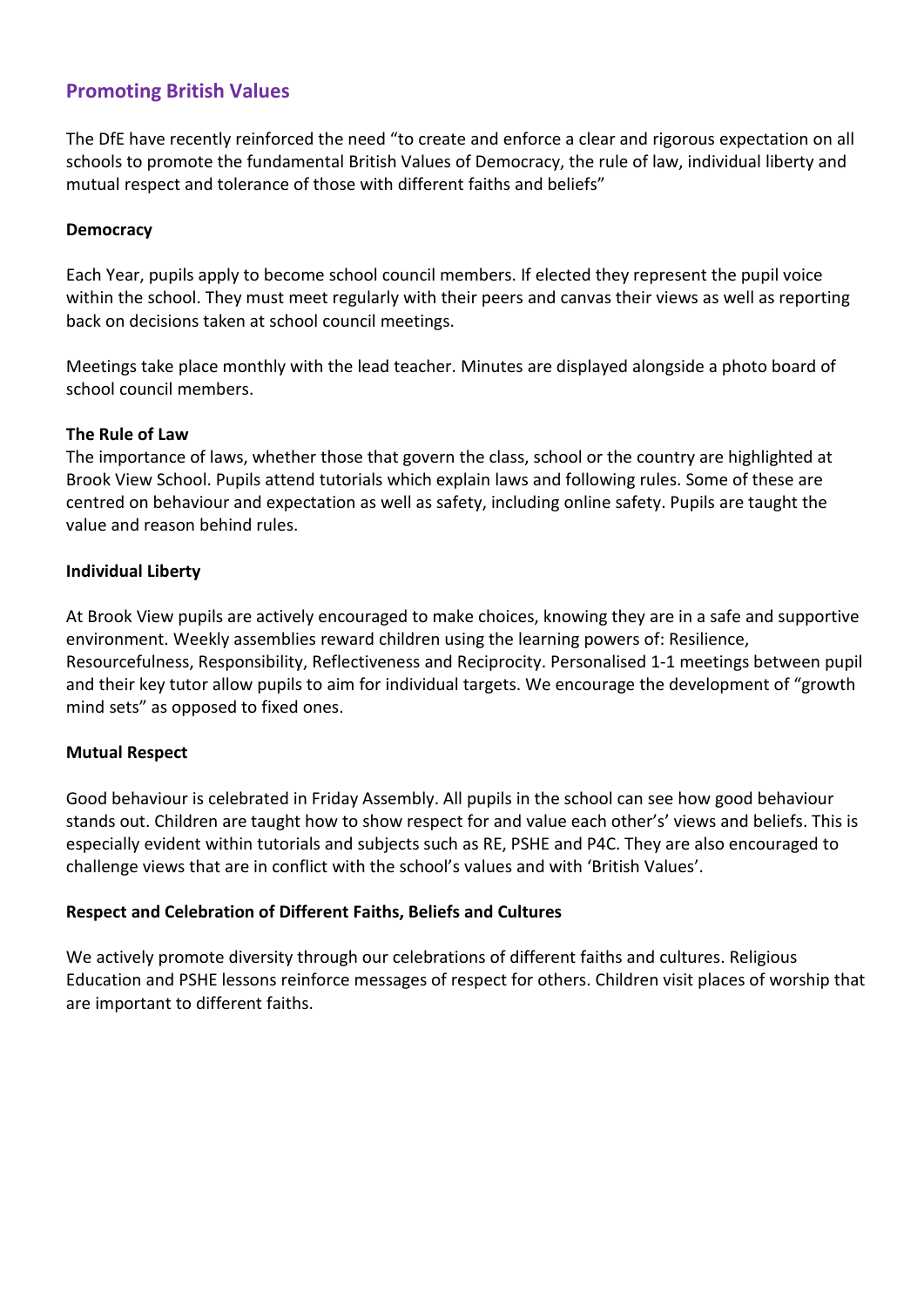## **Promoting British Values**

The DfE have recently reinforced the need "to create and enforce a clear and rigorous expectation on all schools to promote the fundamental British Values of Democracy, the rule of law, individual liberty and mutual respect and tolerance of those with different faiths and beliefs"

#### **Democracy**

Each Year, pupils apply to become school council members. If elected they represent the pupil voice within the school. They must meet regularly with their peers and canvas their views as well as reporting back on decisions taken at school council meetings.

Meetings take place monthly with the lead teacher. Minutes are displayed alongside a photo board of school council members.

#### **The Rule of Law**

The importance of laws, whether those that govern the class, school or the country are highlighted at Brook View School. Pupils attend tutorials which explain laws and following rules. Some of these are centred on behaviour and expectation as well as safety, including online safety. Pupils are taught the value and reason behind rules.

#### **Individual Liberty**

At Brook View pupils are actively encouraged to make choices, knowing they are in a safe and supportive environment. Weekly assemblies reward children using the learning powers of: Resilience, Resourcefulness, Responsibility, Reflectiveness and Reciprocity. Personalised 1-1 meetings between pupil and their key tutor allow pupils to aim for individual targets. We encourage the development of "growth mind sets" as opposed to fixed ones.

#### **Mutual Respect**

Good behaviour is celebrated in Friday Assembly. All pupils in the school can see how good behaviour stands out. Children are taught how to show respect for and value each other's' views and beliefs. This is especially evident within tutorials and subjects such as RE, PSHE and P4C. They are also encouraged to challenge views that are in conflict with the school's values and with 'British Values'.

#### **Respect and Celebration of Different Faiths, Beliefs and Cultures**

We actively promote diversity through our celebrations of different faiths and cultures. Religious Education and PSHE lessons reinforce messages of respect for others. Children visit places of worship that are important to different faiths.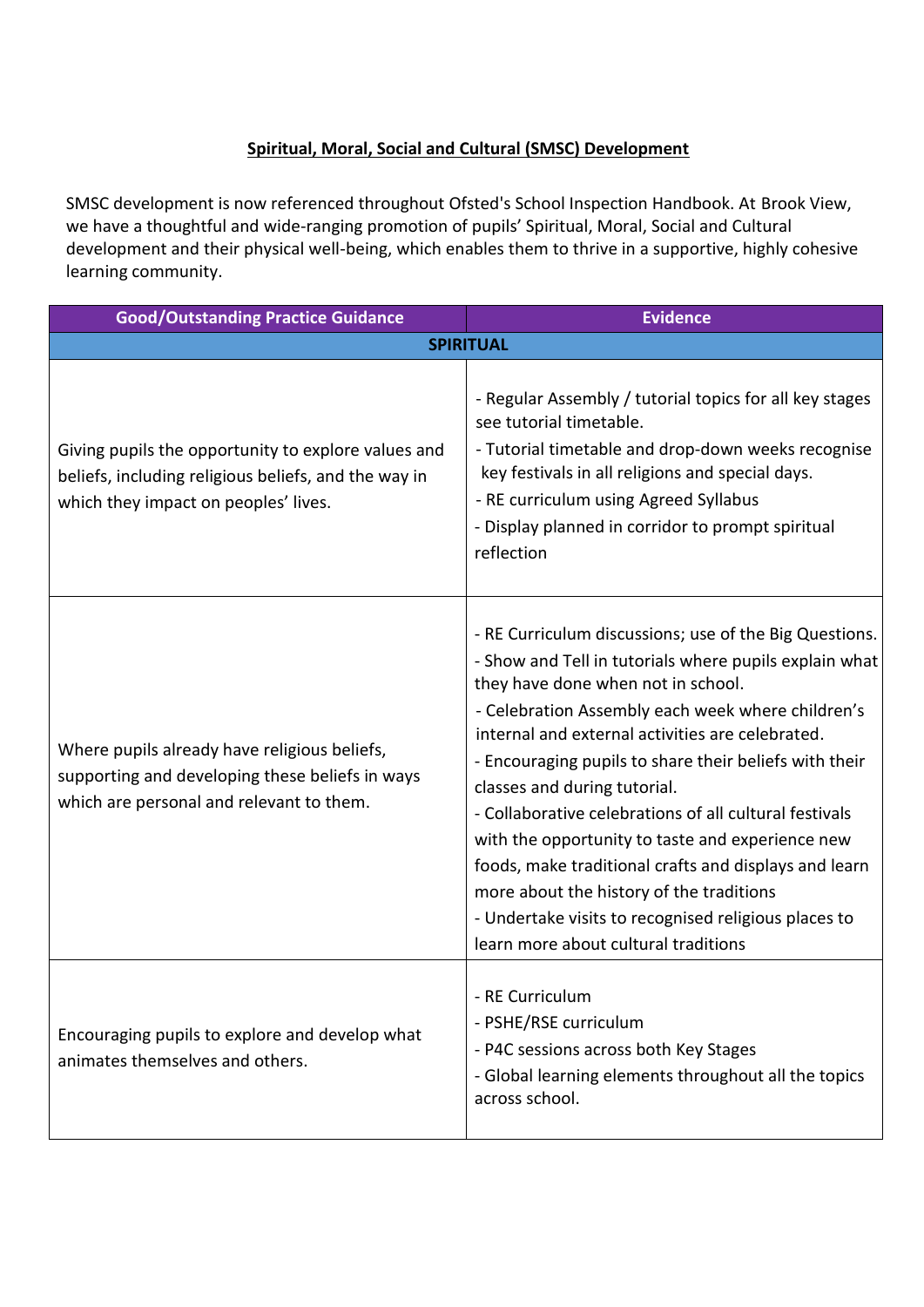### **Spiritual, Moral, Social and Cultural (SMSC) Development**

SMSC development is now referenced throughout Ofsted's School Inspection Handbook. At Brook View, we have a thoughtful and wide-ranging promotion of pupils' Spiritual, Moral, Social and Cultural development and their physical well-being, which enables them to thrive in a supportive, highly cohesive learning community.

| <b>Good/Outstanding Practice Guidance</b>                                                                                                           | <b>Evidence</b>                                                                                                                                                                                                                                                                                                                                                                                                                                                                                                                                                                                                                                                              |
|-----------------------------------------------------------------------------------------------------------------------------------------------------|------------------------------------------------------------------------------------------------------------------------------------------------------------------------------------------------------------------------------------------------------------------------------------------------------------------------------------------------------------------------------------------------------------------------------------------------------------------------------------------------------------------------------------------------------------------------------------------------------------------------------------------------------------------------------|
|                                                                                                                                                     | <b>SPIRITUAL</b>                                                                                                                                                                                                                                                                                                                                                                                                                                                                                                                                                                                                                                                             |
| Giving pupils the opportunity to explore values and<br>beliefs, including religious beliefs, and the way in<br>which they impact on peoples' lives. | - Regular Assembly / tutorial topics for all key stages<br>see tutorial timetable.<br>- Tutorial timetable and drop-down weeks recognise<br>key festivals in all religions and special days.<br>- RE curriculum using Agreed Syllabus<br>- Display planned in corridor to prompt spiritual<br>reflection                                                                                                                                                                                                                                                                                                                                                                     |
| Where pupils already have religious beliefs,<br>supporting and developing these beliefs in ways<br>which are personal and relevant to them.         | - RE Curriculum discussions; use of the Big Questions.<br>- Show and Tell in tutorials where pupils explain what<br>they have done when not in school.<br>- Celebration Assembly each week where children's<br>internal and external activities are celebrated.<br>- Encouraging pupils to share their beliefs with their<br>classes and during tutorial.<br>- Collaborative celebrations of all cultural festivals<br>with the opportunity to taste and experience new<br>foods, make traditional crafts and displays and learn<br>more about the history of the traditions<br>- Undertake visits to recognised religious places to<br>learn more about cultural traditions |
| Encouraging pupils to explore and develop what<br>animates themselves and others.                                                                   | - RE Curriculum<br>- PSHE/RSE curriculum<br>- P4C sessions across both Key Stages<br>- Global learning elements throughout all the topics<br>across school.                                                                                                                                                                                                                                                                                                                                                                                                                                                                                                                  |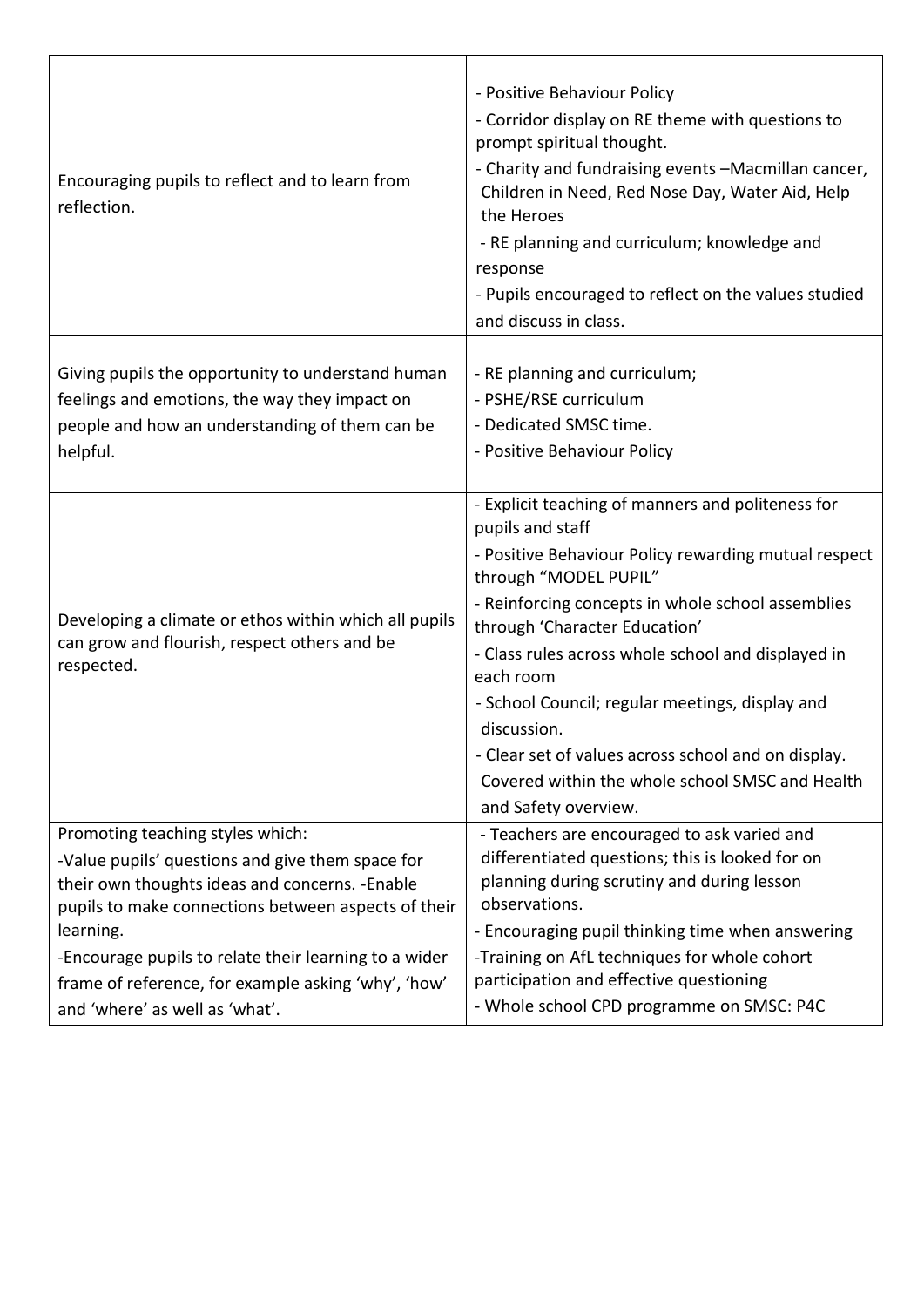| Encouraging pupils to reflect and to learn from<br>reflection.                                                      | - Positive Behaviour Policy<br>- Corridor display on RE theme with questions to<br>prompt spiritual thought.<br>- Charity and fundraising events -Macmillan cancer,<br>Children in Need, Red Nose Day, Water Aid, Help<br>the Heroes<br>- RE planning and curriculum; knowledge and<br>response<br>- Pupils encouraged to reflect on the values studied<br>and discuss in class.                                                                                                                                    |
|---------------------------------------------------------------------------------------------------------------------|---------------------------------------------------------------------------------------------------------------------------------------------------------------------------------------------------------------------------------------------------------------------------------------------------------------------------------------------------------------------------------------------------------------------------------------------------------------------------------------------------------------------|
| Giving pupils the opportunity to understand human                                                                   | - RE planning and curriculum;                                                                                                                                                                                                                                                                                                                                                                                                                                                                                       |
| feelings and emotions, the way they impact on                                                                       | - PSHE/RSE curriculum                                                                                                                                                                                                                                                                                                                                                                                                                                                                                               |
| people and how an understanding of them can be                                                                      | - Dedicated SMSC time.                                                                                                                                                                                                                                                                                                                                                                                                                                                                                              |
| helpful.                                                                                                            | - Positive Behaviour Policy                                                                                                                                                                                                                                                                                                                                                                                                                                                                                         |
| Developing a climate or ethos within which all pupils<br>can grow and flourish, respect others and be<br>respected. | - Explicit teaching of manners and politeness for<br>pupils and staff<br>- Positive Behaviour Policy rewarding mutual respect<br>through "MODEL PUPIL"<br>- Reinforcing concepts in whole school assemblies<br>through 'Character Education'<br>- Class rules across whole school and displayed in<br>each room<br>- School Council; regular meetings, display and<br>discussion.<br>- Clear set of values across school and on display.<br>Covered within the whole school SMSC and Health<br>and Safety overview. |
| Promoting teaching styles which:                                                                                    | - Teachers are encouraged to ask varied and                                                                                                                                                                                                                                                                                                                                                                                                                                                                         |
| -Value pupils' questions and give them space for                                                                    | differentiated questions; this is looked for on                                                                                                                                                                                                                                                                                                                                                                                                                                                                     |
| their own thoughts ideas and concerns. - Enable                                                                     | planning during scrutiny and during lesson                                                                                                                                                                                                                                                                                                                                                                                                                                                                          |
| pupils to make connections between aspects of their                                                                 | observations.                                                                                                                                                                                                                                                                                                                                                                                                                                                                                                       |
| learning.                                                                                                           | - Encouraging pupil thinking time when answering                                                                                                                                                                                                                                                                                                                                                                                                                                                                    |
| -Encourage pupils to relate their learning to a wider                                                               | -Training on AfL techniques for whole cohort                                                                                                                                                                                                                                                                                                                                                                                                                                                                        |
| frame of reference, for example asking 'why', 'how'                                                                 | participation and effective questioning                                                                                                                                                                                                                                                                                                                                                                                                                                                                             |
| and 'where' as well as 'what'.                                                                                      | - Whole school CPD programme on SMSC: P4C                                                                                                                                                                                                                                                                                                                                                                                                                                                                           |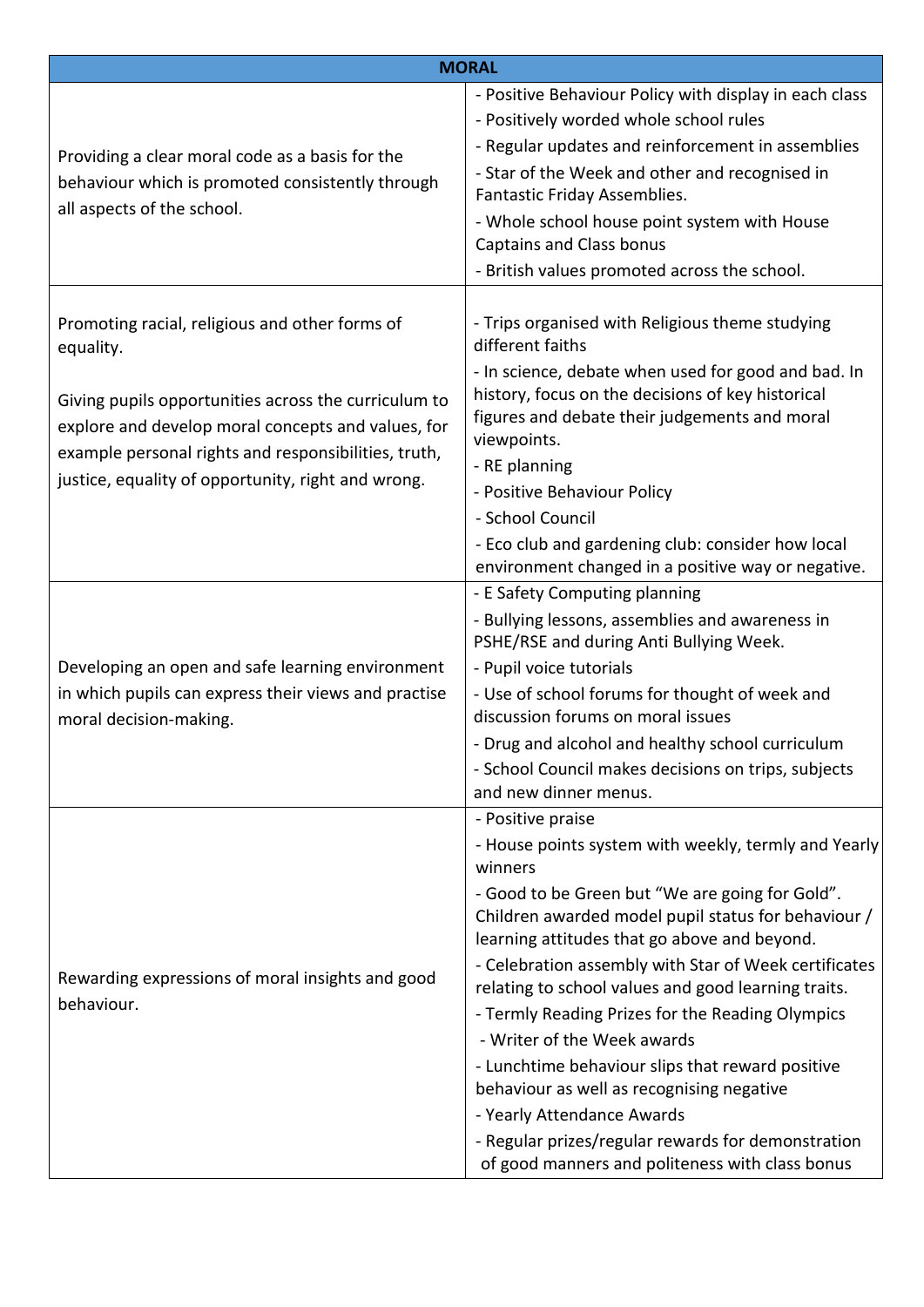| <b>MORAL</b>                                                                                                                                                                                                             |                                                                                                                                                                                                                          |
|--------------------------------------------------------------------------------------------------------------------------------------------------------------------------------------------------------------------------|--------------------------------------------------------------------------------------------------------------------------------------------------------------------------------------------------------------------------|
|                                                                                                                                                                                                                          | - Positive Behaviour Policy with display in each class                                                                                                                                                                   |
|                                                                                                                                                                                                                          | - Positively worded whole school rules                                                                                                                                                                                   |
| Providing a clear moral code as a basis for the                                                                                                                                                                          | - Regular updates and reinforcement in assemblies                                                                                                                                                                        |
| behaviour which is promoted consistently through<br>all aspects of the school.                                                                                                                                           | - Star of the Week and other and recognised in<br>Fantastic Friday Assemblies.                                                                                                                                           |
|                                                                                                                                                                                                                          | - Whole school house point system with House<br><b>Captains and Class bonus</b>                                                                                                                                          |
|                                                                                                                                                                                                                          | - British values promoted across the school.                                                                                                                                                                             |
| Promoting racial, religious and other forms of<br>equality.                                                                                                                                                              | - Trips organised with Religious theme studying<br>different faiths                                                                                                                                                      |
| Giving pupils opportunities across the curriculum to<br>explore and develop moral concepts and values, for<br>example personal rights and responsibilities, truth,<br>justice, equality of opportunity, right and wrong. | - In science, debate when used for good and bad. In<br>history, focus on the decisions of key historical<br>figures and debate their judgements and moral<br>viewpoints.<br>- RE planning<br>- Positive Behaviour Policy |
|                                                                                                                                                                                                                          | - School Council                                                                                                                                                                                                         |
|                                                                                                                                                                                                                          | - Eco club and gardening club: consider how local<br>environment changed in a positive way or negative.                                                                                                                  |
|                                                                                                                                                                                                                          | - E Safety Computing planning                                                                                                                                                                                            |
|                                                                                                                                                                                                                          | - Bullying lessons, assemblies and awareness in<br>PSHE/RSE and during Anti Bullying Week.                                                                                                                               |
| Developing an open and safe learning environment                                                                                                                                                                         | - Pupil voice tutorials                                                                                                                                                                                                  |
| in which pupils can express their views and practise<br>moral decision-making.                                                                                                                                           | - Use of school forums for thought of week and<br>discussion forums on moral issues                                                                                                                                      |
|                                                                                                                                                                                                                          | - Drug and alcohol and healthy school curriculum                                                                                                                                                                         |
|                                                                                                                                                                                                                          | - School Council makes decisions on trips, subjects<br>and new dinner menus.                                                                                                                                             |
|                                                                                                                                                                                                                          | - Positive praise                                                                                                                                                                                                        |
| Rewarding expressions of moral insights and good<br>behaviour.                                                                                                                                                           | - House points system with weekly, termly and Yearly<br>winners                                                                                                                                                          |
|                                                                                                                                                                                                                          | - Good to be Green but "We are going for Gold".<br>Children awarded model pupil status for behaviour /<br>learning attitudes that go above and beyond.                                                                   |
|                                                                                                                                                                                                                          | - Celebration assembly with Star of Week certificates<br>relating to school values and good learning traits.                                                                                                             |
|                                                                                                                                                                                                                          | - Termly Reading Prizes for the Reading Olympics                                                                                                                                                                         |
|                                                                                                                                                                                                                          | - Writer of the Week awards                                                                                                                                                                                              |
|                                                                                                                                                                                                                          | - Lunchtime behaviour slips that reward positive<br>behaviour as well as recognising negative                                                                                                                            |
|                                                                                                                                                                                                                          | - Yearly Attendance Awards                                                                                                                                                                                               |
|                                                                                                                                                                                                                          | - Regular prizes/regular rewards for demonstration<br>of good manners and politeness with class bonus                                                                                                                    |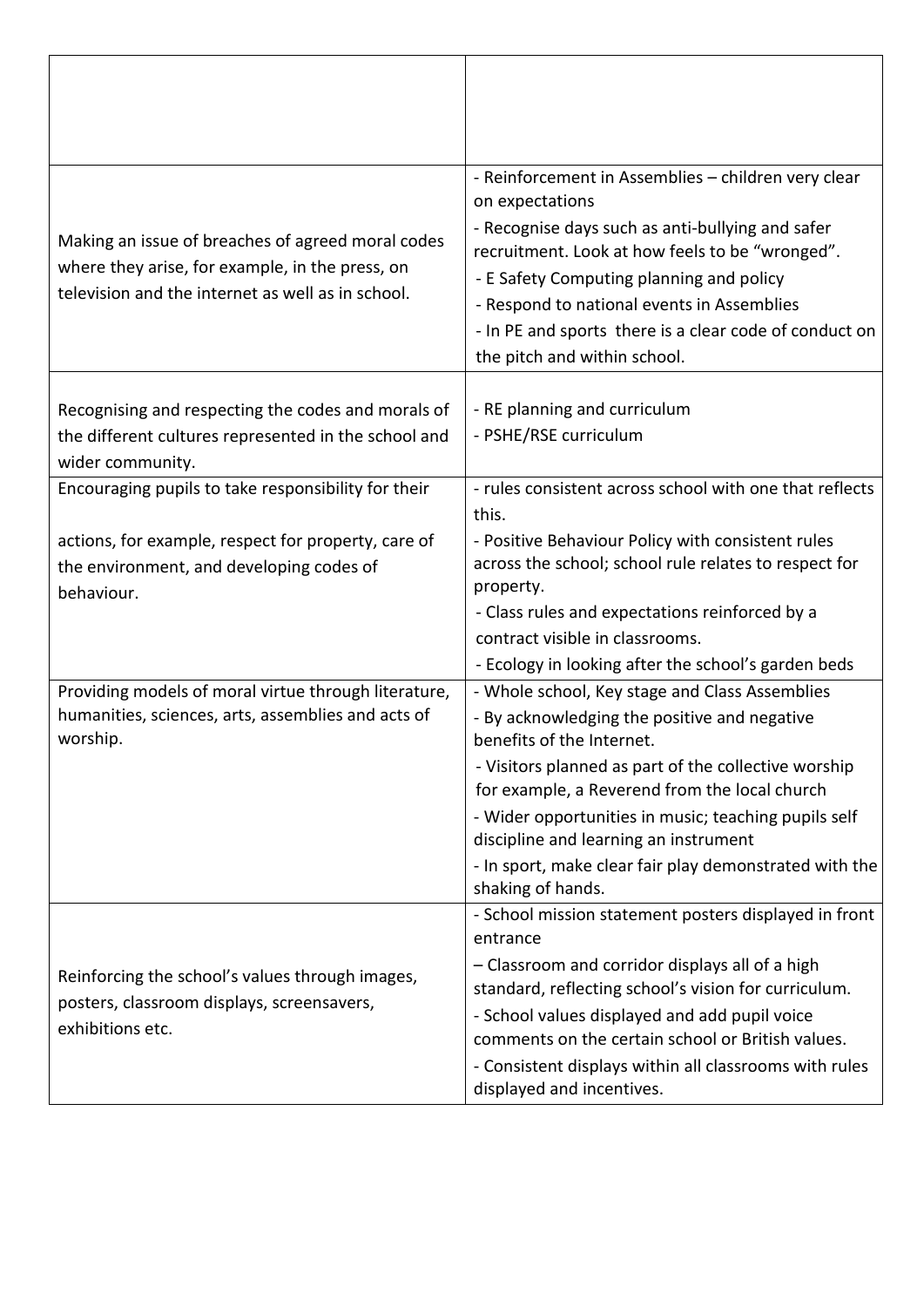| Making an issue of breaches of agreed moral codes<br>where they arise, for example, in the press, on<br>television and the internet as well as in school. | - Reinforcement in Assemblies - children very clear<br>on expectations<br>- Recognise days such as anti-bullying and safer<br>recruitment. Look at how feels to be "wronged".<br>- E Safety Computing planning and policy<br>- Respond to national events in Assemblies<br>- In PE and sports there is a clear code of conduct on<br>the pitch and within school. |
|-----------------------------------------------------------------------------------------------------------------------------------------------------------|-------------------------------------------------------------------------------------------------------------------------------------------------------------------------------------------------------------------------------------------------------------------------------------------------------------------------------------------------------------------|
| Recognising and respecting the codes and morals of<br>the different cultures represented in the school and<br>wider community.                            | - RE planning and curriculum<br>- PSHE/RSE curriculum                                                                                                                                                                                                                                                                                                             |
| Encouraging pupils to take responsibility for their                                                                                                       | - rules consistent across school with one that reflects<br>this.                                                                                                                                                                                                                                                                                                  |
| actions, for example, respect for property, care of<br>the environment, and developing codes of<br>behaviour.                                             | - Positive Behaviour Policy with consistent rules<br>across the school; school rule relates to respect for<br>property.                                                                                                                                                                                                                                           |
|                                                                                                                                                           | - Class rules and expectations reinforced by a<br>contract visible in classrooms.                                                                                                                                                                                                                                                                                 |
|                                                                                                                                                           | - Ecology in looking after the school's garden beds                                                                                                                                                                                                                                                                                                               |
| Providing models of moral virtue through literature,                                                                                                      | - Whole school, Key stage and Class Assemblies                                                                                                                                                                                                                                                                                                                    |
| humanities, sciences, arts, assemblies and acts of<br>worship.                                                                                            | - By acknowledging the positive and negative<br>benefits of the Internet.                                                                                                                                                                                                                                                                                         |
|                                                                                                                                                           | - Visitors planned as part of the collective worship<br>for example, a Reverend from the local church                                                                                                                                                                                                                                                             |
|                                                                                                                                                           | - Wider opportunities in music; teaching pupils self<br>discipline and learning an instrument                                                                                                                                                                                                                                                                     |
|                                                                                                                                                           | - In sport, make clear fair play demonstrated with the<br>shaking of hands.                                                                                                                                                                                                                                                                                       |
|                                                                                                                                                           | - School mission statement posters displayed in front<br>entrance                                                                                                                                                                                                                                                                                                 |
| Reinforcing the school's values through images,<br>posters, classroom displays, screensavers,                                                             | - Classroom and corridor displays all of a high<br>standard, reflecting school's vision for curriculum.                                                                                                                                                                                                                                                           |
| exhibitions etc.                                                                                                                                          | - School values displayed and add pupil voice                                                                                                                                                                                                                                                                                                                     |
|                                                                                                                                                           | comments on the certain school or British values.                                                                                                                                                                                                                                                                                                                 |
|                                                                                                                                                           | - Consistent displays within all classrooms with rules<br>displayed and incentives.                                                                                                                                                                                                                                                                               |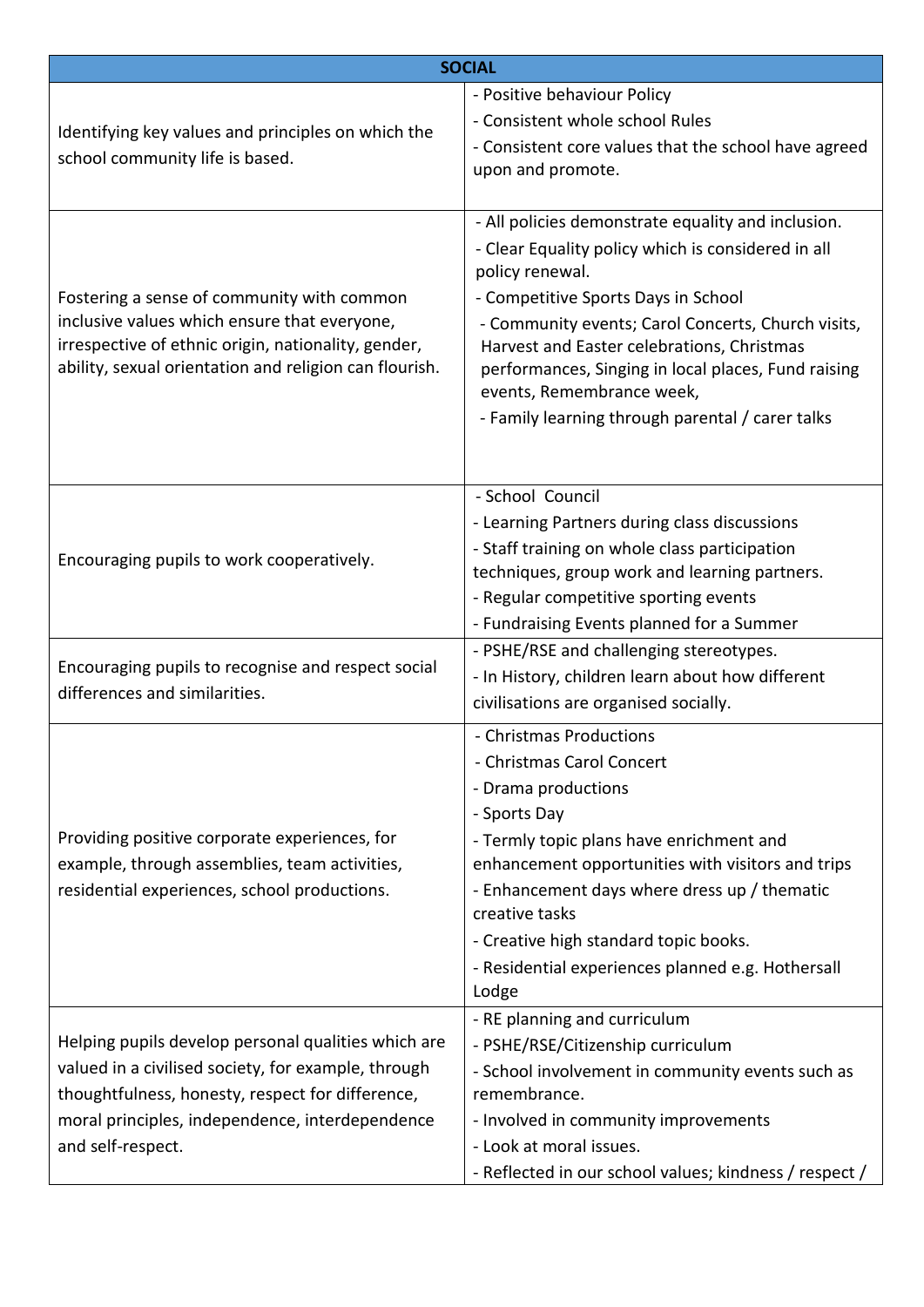| <b>SOCIAL</b>                                                                                                                                                                                                                          |                                                                                                                                                                                                                                                                                                                                                                                                                |
|----------------------------------------------------------------------------------------------------------------------------------------------------------------------------------------------------------------------------------------|----------------------------------------------------------------------------------------------------------------------------------------------------------------------------------------------------------------------------------------------------------------------------------------------------------------------------------------------------------------------------------------------------------------|
| Identifying key values and principles on which the<br>school community life is based.                                                                                                                                                  | - Positive behaviour Policy<br>- Consistent whole school Rules                                                                                                                                                                                                                                                                                                                                                 |
|                                                                                                                                                                                                                                        | - Consistent core values that the school have agreed<br>upon and promote.                                                                                                                                                                                                                                                                                                                                      |
| Fostering a sense of community with common<br>inclusive values which ensure that everyone,<br>irrespective of ethnic origin, nationality, gender,<br>ability, sexual orientation and religion can flourish.                            | - All policies demonstrate equality and inclusion.<br>- Clear Equality policy which is considered in all<br>policy renewal.<br>- Competitive Sports Days in School<br>- Community events; Carol Concerts, Church visits,<br>Harvest and Easter celebrations, Christmas<br>performances, Singing in local places, Fund raising<br>events, Remembrance week,<br>- Family learning through parental / carer talks |
| Encouraging pupils to work cooperatively.                                                                                                                                                                                              | - School Council<br>- Learning Partners during class discussions<br>- Staff training on whole class participation<br>techniques, group work and learning partners.<br>- Regular competitive sporting events<br>- Fundraising Events planned for a Summer                                                                                                                                                       |
| Encouraging pupils to recognise and respect social<br>differences and similarities.                                                                                                                                                    | - PSHE/RSE and challenging stereotypes.<br>- In History, children learn about how different<br>civilisations are organised socially.                                                                                                                                                                                                                                                                           |
| Providing positive corporate experiences, for<br>example, through assemblies, team activities,<br>residential experiences, school productions.                                                                                         | - Christmas Productions<br>- Christmas Carol Concert<br>- Drama productions<br>- Sports Day<br>- Termly topic plans have enrichment and<br>enhancement opportunities with visitors and trips<br>- Enhancement days where dress up / thematic<br>creative tasks<br>- Creative high standard topic books.<br>- Residential experiences planned e.g. Hothersall<br>Lodge                                          |
| Helping pupils develop personal qualities which are<br>valued in a civilised society, for example, through<br>thoughtfulness, honesty, respect for difference,<br>moral principles, independence, interdependence<br>and self-respect. | - RE planning and curriculum<br>- PSHE/RSE/Citizenship curriculum<br>- School involvement in community events such as<br>remembrance.<br>- Involved in community improvements<br>- Look at moral issues.<br>- Reflected in our school values; kindness / respect /                                                                                                                                             |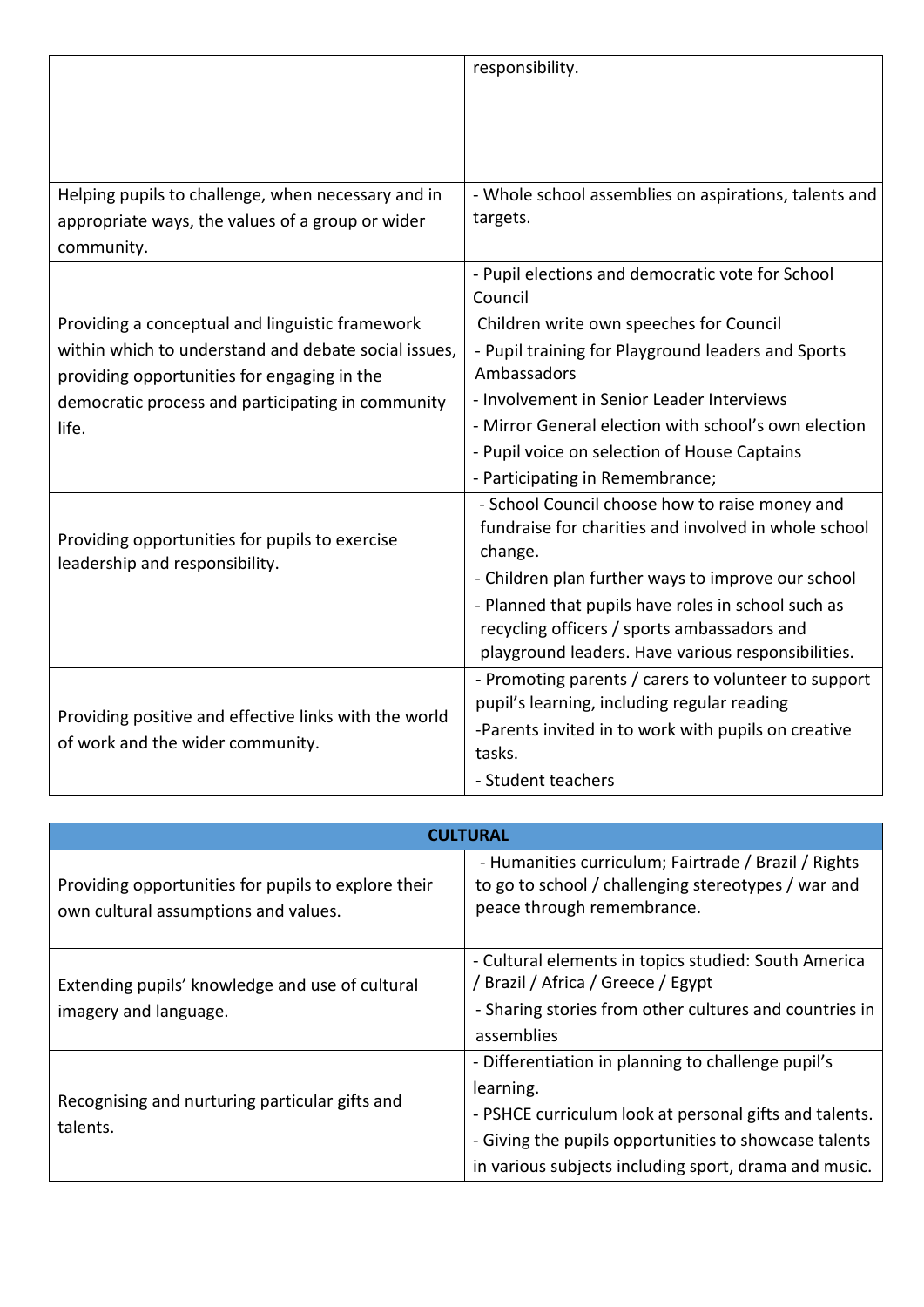|                                                                                           | responsibility.                                                 |
|-------------------------------------------------------------------------------------------|-----------------------------------------------------------------|
|                                                                                           |                                                                 |
|                                                                                           |                                                                 |
|                                                                                           |                                                                 |
| Helping pupils to challenge, when necessary and in                                        | - Whole school assemblies on aspirations, talents and           |
| appropriate ways, the values of a group or wider                                          | targets.                                                        |
| community.                                                                                |                                                                 |
|                                                                                           | - Pupil elections and democratic vote for School<br>Council     |
| Providing a conceptual and linguistic framework                                           | Children write own speeches for Council                         |
| within which to understand and debate social issues,                                      | - Pupil training for Playground leaders and Sports              |
| providing opportunities for engaging in the                                               | Ambassadors                                                     |
| democratic process and participating in community                                         | - Involvement in Senior Leader Interviews                       |
| life.                                                                                     | - Mirror General election with school's own election            |
|                                                                                           | - Pupil voice on selection of House Captains                    |
|                                                                                           | - Participating in Remembrance;                                 |
|                                                                                           | - School Council choose how to raise money and                  |
| Providing opportunities for pupils to exercise<br>leadership and responsibility.          | fundraise for charities and involved in whole school<br>change. |
|                                                                                           | - Children plan further ways to improve our school              |
|                                                                                           | - Planned that pupils have roles in school such as              |
|                                                                                           | recycling officers / sports ambassadors and                     |
|                                                                                           | playground leaders. Have various responsibilities.              |
|                                                                                           | - Promoting parents / carers to volunteer to support            |
| Providing positive and effective links with the world<br>of work and the wider community. | pupil's learning, including regular reading                     |
|                                                                                           | -Parents invited in to work with pupils on creative             |
|                                                                                           | tasks.                                                          |
|                                                                                           | - Student teachers                                              |

| <b>CULTURAL</b>                                                                             |                                                                                                                                                                                                                                             |
|---------------------------------------------------------------------------------------------|---------------------------------------------------------------------------------------------------------------------------------------------------------------------------------------------------------------------------------------------|
| Providing opportunities for pupils to explore their<br>own cultural assumptions and values. | - Humanities curriculum; Fairtrade / Brazil / Rights<br>to go to school / challenging stereotypes / war and<br>peace through remembrance.                                                                                                   |
| Extending pupils' knowledge and use of cultural<br>imagery and language.                    | - Cultural elements in topics studied: South America<br>/ Brazil / Africa / Greece / Egypt<br>- Sharing stories from other cultures and countries in<br>assemblies                                                                          |
| Recognising and nurturing particular gifts and<br>talents.                                  | - Differentiation in planning to challenge pupil's<br>learning.<br>- PSHCE curriculum look at personal gifts and talents.<br>- Giving the pupils opportunities to showcase talents<br>in various subjects including sport, drama and music. |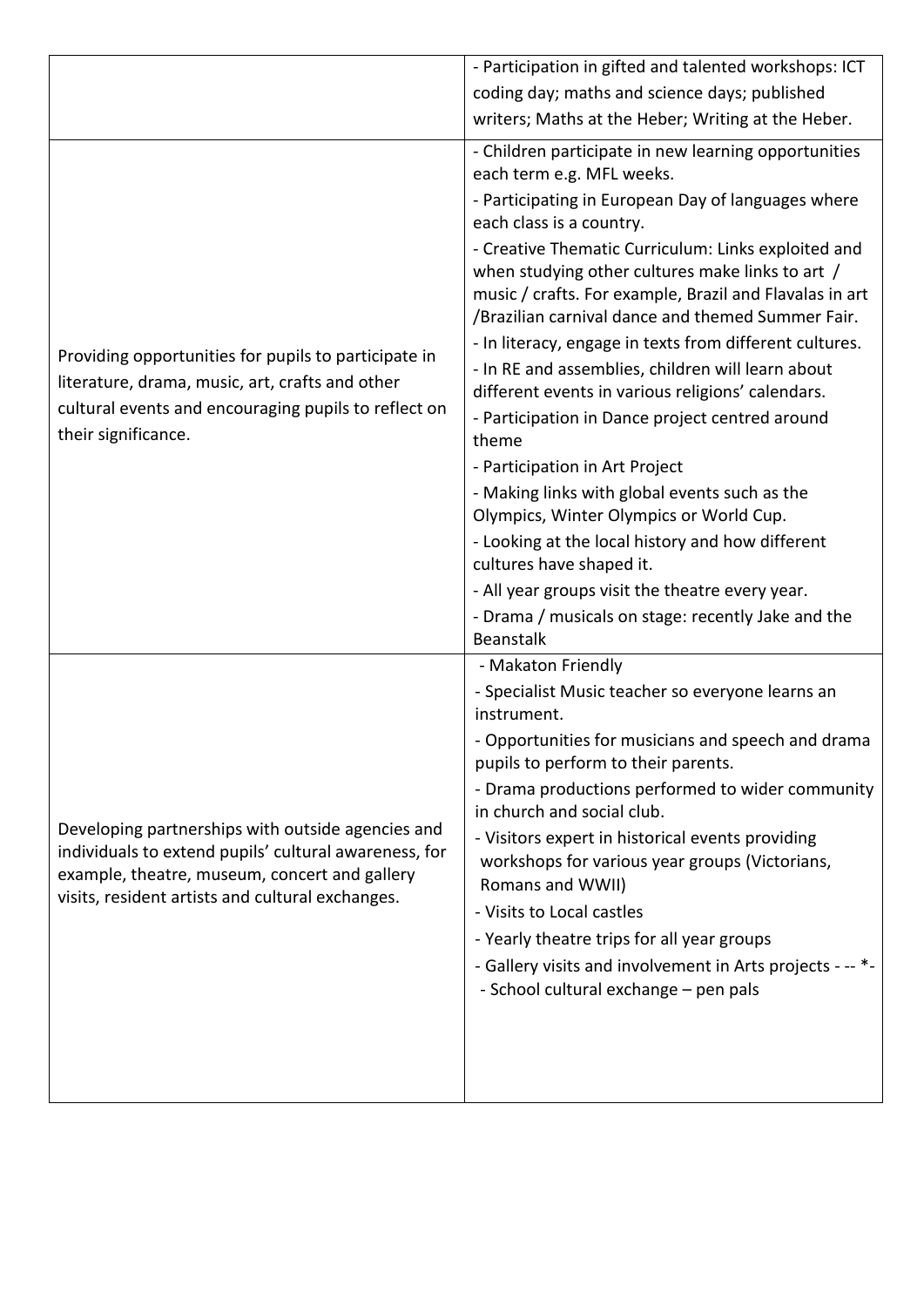|                                                                                                                                                                                                                 | - Participation in gifted and talented workshops: ICT                                                                                                                                                                   |
|-----------------------------------------------------------------------------------------------------------------------------------------------------------------------------------------------------------------|-------------------------------------------------------------------------------------------------------------------------------------------------------------------------------------------------------------------------|
|                                                                                                                                                                                                                 | coding day; maths and science days; published                                                                                                                                                                           |
|                                                                                                                                                                                                                 | writers; Maths at the Heber; Writing at the Heber.                                                                                                                                                                      |
| Providing opportunities for pupils to participate in<br>literature, drama, music, art, crafts and other<br>cultural events and encouraging pupils to reflect on                                                 | - Children participate in new learning opportunities<br>each term e.g. MFL weeks.<br>- Participating in European Day of languages where<br>each class is a country.                                                     |
|                                                                                                                                                                                                                 | - Creative Thematic Curriculum: Links exploited and<br>when studying other cultures make links to art /<br>music / crafts. For example, Brazil and Flavalas in art<br>/Brazilian carnival dance and themed Summer Fair. |
|                                                                                                                                                                                                                 | - In literacy, engage in texts from different cultures.<br>- In RE and assemblies, children will learn about<br>different events in various religions' calendars.                                                       |
| their significance.                                                                                                                                                                                             | - Participation in Dance project centred around<br>theme                                                                                                                                                                |
|                                                                                                                                                                                                                 | - Participation in Art Project                                                                                                                                                                                          |
|                                                                                                                                                                                                                 | - Making links with global events such as the<br>Olympics, Winter Olympics or World Cup.                                                                                                                                |
|                                                                                                                                                                                                                 | - Looking at the local history and how different<br>cultures have shaped it.                                                                                                                                            |
|                                                                                                                                                                                                                 | - All year groups visit the theatre every year.                                                                                                                                                                         |
|                                                                                                                                                                                                                 | - Drama / musicals on stage: recently Jake and the<br><b>Beanstalk</b>                                                                                                                                                  |
|                                                                                                                                                                                                                 | - Makaton Friendly                                                                                                                                                                                                      |
|                                                                                                                                                                                                                 | - Specialist Music teacher so everyone learns an<br>instrument.                                                                                                                                                         |
|                                                                                                                                                                                                                 | - Opportunities for musicians and speech and drama<br>pupils to perform to their parents.                                                                                                                               |
|                                                                                                                                                                                                                 | - Drama productions performed to wider community<br>in church and social club.                                                                                                                                          |
| Developing partnerships with outside agencies and<br>individuals to extend pupils' cultural awareness, for<br>example, theatre, museum, concert and gallery<br>visits, resident artists and cultural exchanges. | - Visitors expert in historical events providing<br>workshops for various year groups (Victorians,<br>Romans and WWII)<br>- Visits to Local castles                                                                     |
|                                                                                                                                                                                                                 | - Yearly theatre trips for all year groups                                                                                                                                                                              |
|                                                                                                                                                                                                                 | - Gallery visits and involvement in Arts projects - -- *-                                                                                                                                                               |
|                                                                                                                                                                                                                 | - School cultural exchange - pen pals                                                                                                                                                                                   |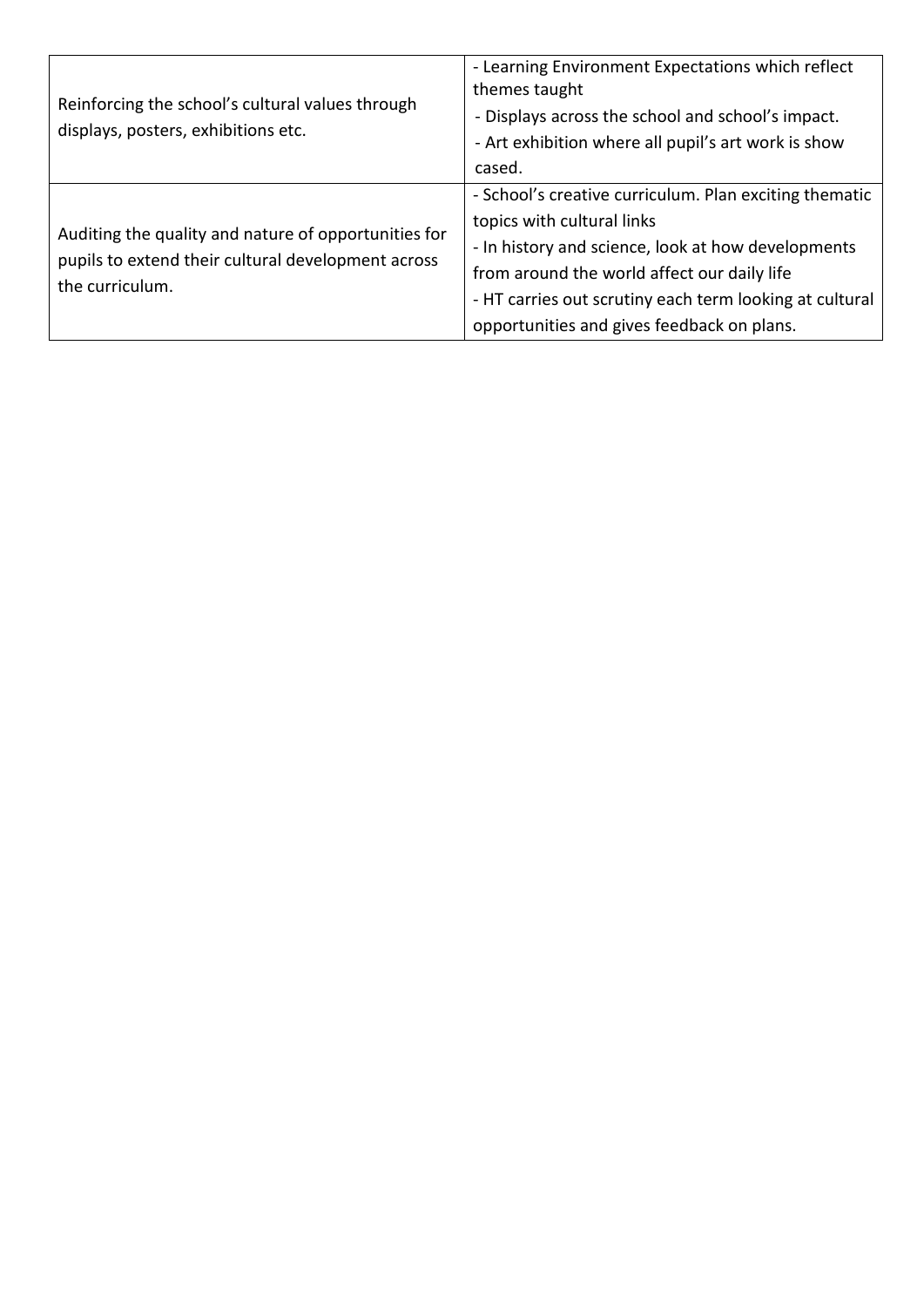| Reinforcing the school's cultural values through<br>displays, posters, exhibitions etc.                                       | - Learning Environment Expectations which reflect<br>themes taught<br>- Displays across the school and school's impact.<br>- Art exhibition where all pupil's art work is show<br>cased.                                                                                                           |
|-------------------------------------------------------------------------------------------------------------------------------|----------------------------------------------------------------------------------------------------------------------------------------------------------------------------------------------------------------------------------------------------------------------------------------------------|
| Auditing the quality and nature of opportunities for<br>pupils to extend their cultural development across<br>the curriculum. | - School's creative curriculum. Plan exciting thematic<br>topics with cultural links<br>- In history and science, look at how developments<br>from around the world affect our daily life<br>- HT carries out scrutiny each term looking at cultural<br>opportunities and gives feedback on plans. |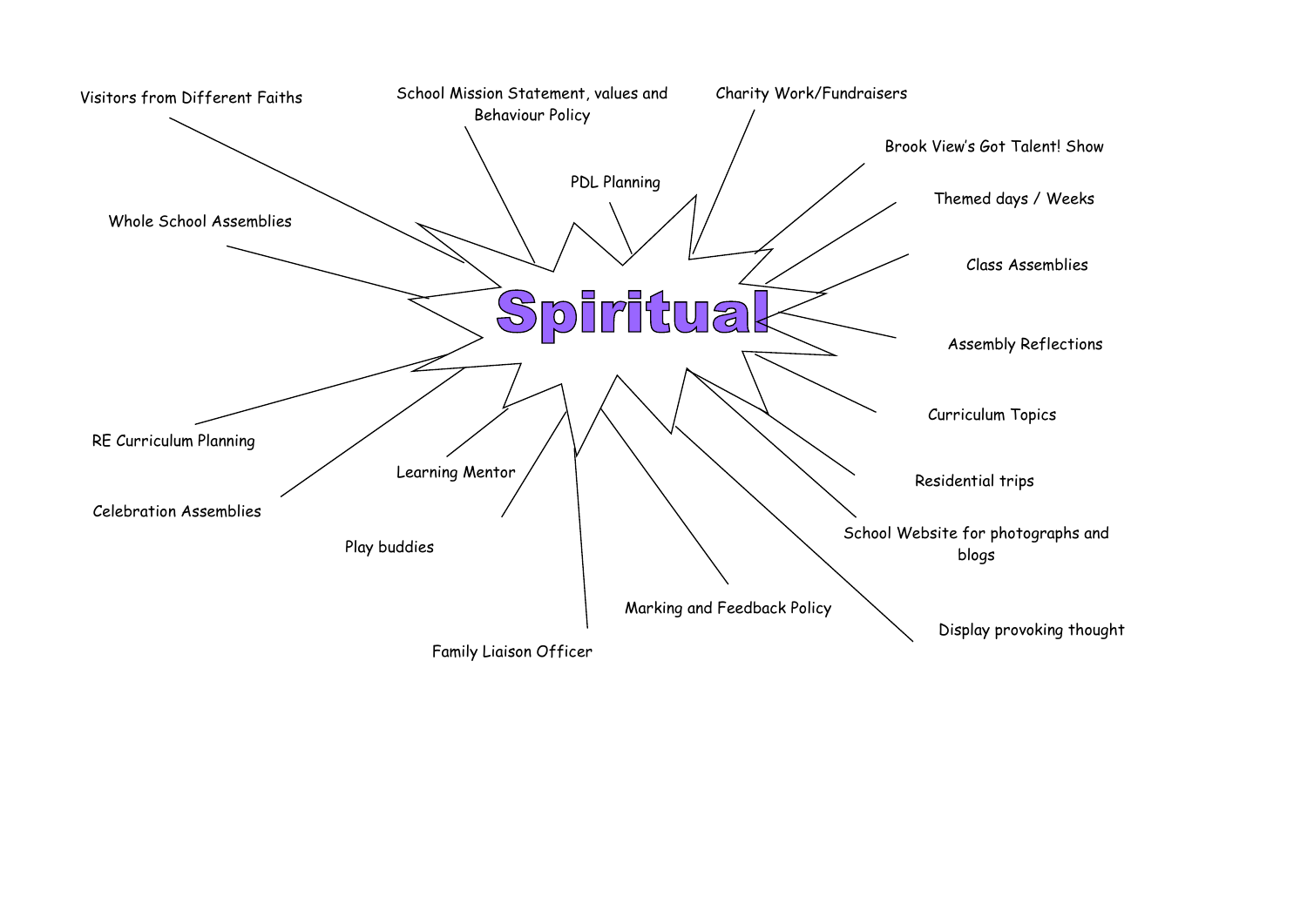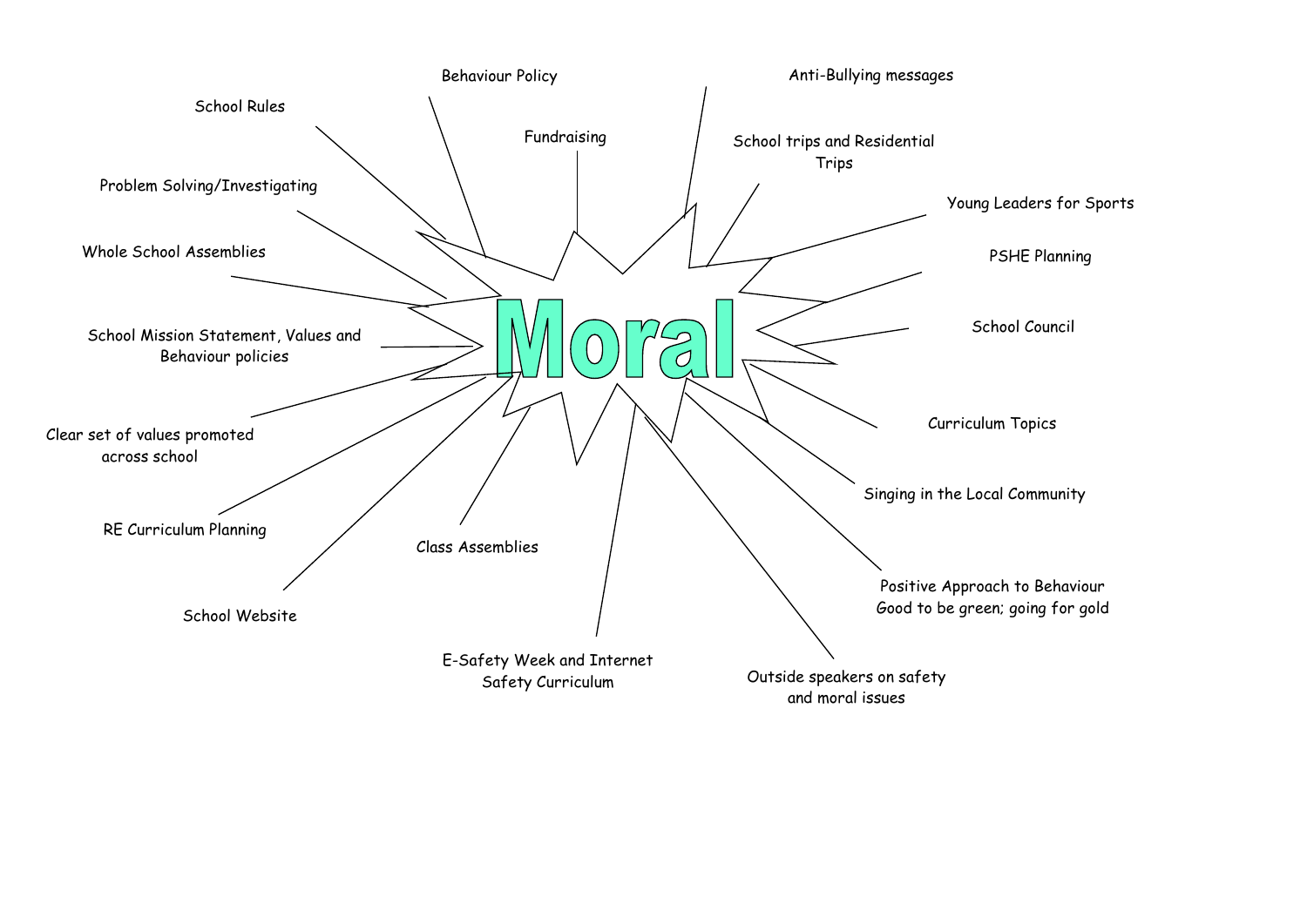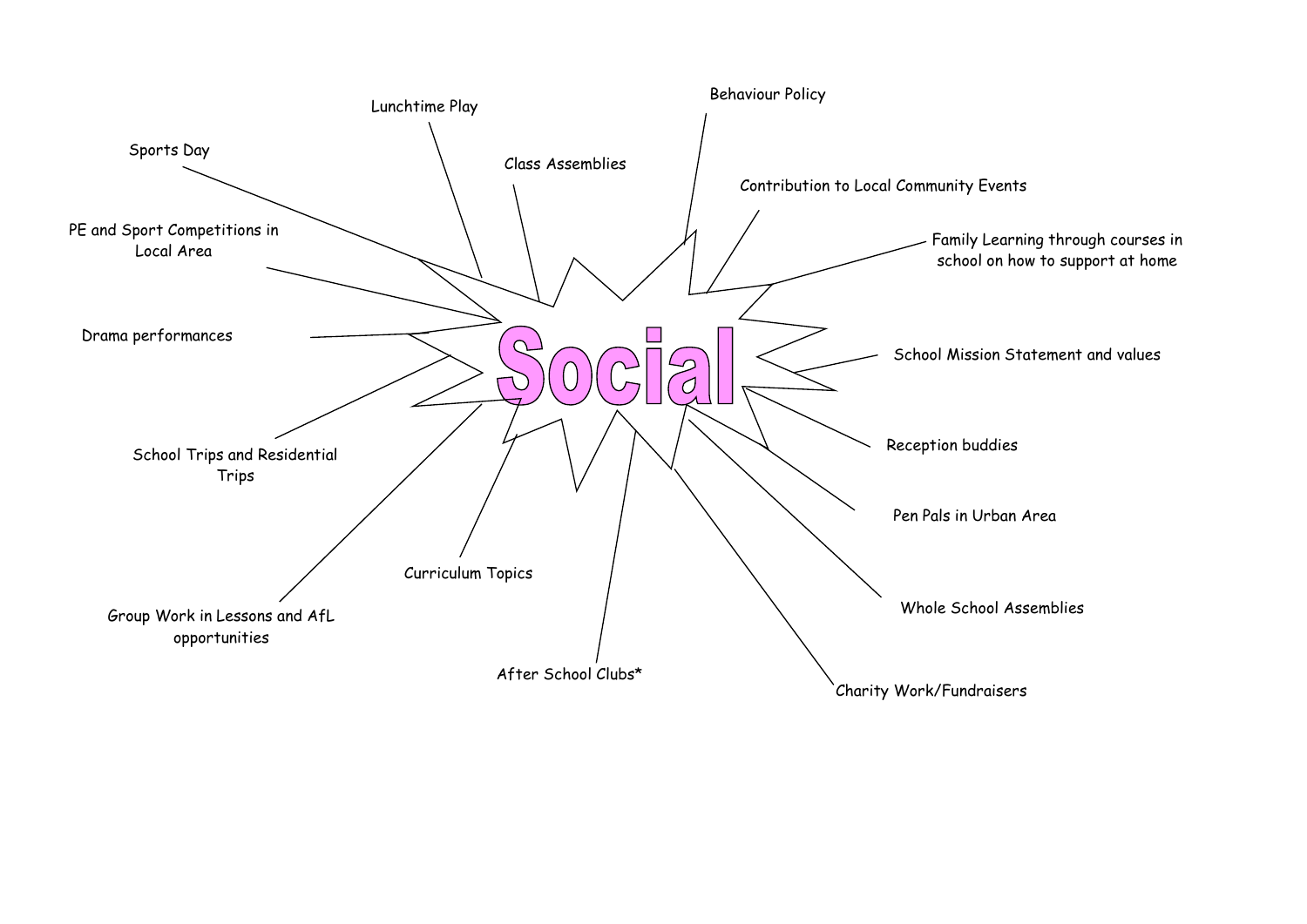